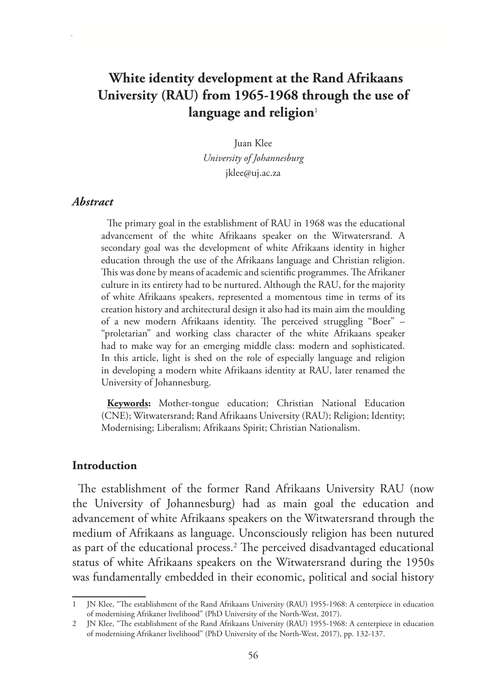# **White identity development at the Rand Afrikaans University (RAU) from 1965-1968 through the use of**  language and religion<sup>1</sup>

Juan Klee *University of Johannesburg* jklee@uj.ac.za

#### *Abstract*

The primary goal in the establishment of RAU in 1968 was the educational advancement of the white Afrikaans speaker on the Witwatersrand. A secondary goal was the development of white Afrikaans identity in higher education through the use of the Afrikaans language and Christian religion. This was done by means of academic and scientific programmes. The Afrikaner culture in its entirety had to be nurtured. Although the RAU, for the majority of white Afrikaans speakers, represented a momentous time in terms of its creation history and architectural design it also had its main aim the moulding of a new modern Afrikaans identity. The perceived struggling "Boer" – "proletarian" and working class character of the white Afrikaans speaker had to make way for an emerging middle class: modern and sophisticated. In this article, light is shed on the role of especially language and religion in developing a modern white Afrikaans identity at RAU, later renamed the University of Johannesburg.

**Keywords:** Mother-tongue education; Christian National Education (CNE); Witwatersrand; Rand Afrikaans University (RAU); Religion; Identity; Modernising; Liberalism; Afrikaans Spirit; Christian Nationalism.

#### **Introduction**

The establishment of the former Rand Afrikaans University RAU (now the University of Johannesburg) had as main goal the education and advancement of white Afrikaans speakers on the Witwatersrand through the medium of Afrikaans as language. Unconsciously religion has been nutured as part of the educational process.2 The perceived disadvantaged educational status of white Afrikaans speakers on the Witwatersrand during the 1950s was fundamentally embedded in their economic, political and social history

<sup>1</sup> JN Klee, "The establishment of the Rand Afrikaans University (RAU) 1955-1968: A centerpiece in education of modernising Afrikaner livelihood" (PhD University of the North-West, 2017).

<sup>2</sup> JN Klee, "The establishment of the Rand Afrikaans University (RAU) 1955-1968: A centerpiece in education of modernising Afrikaner livelihood" (PhD University of the North-West, 2017), pp. 132-137.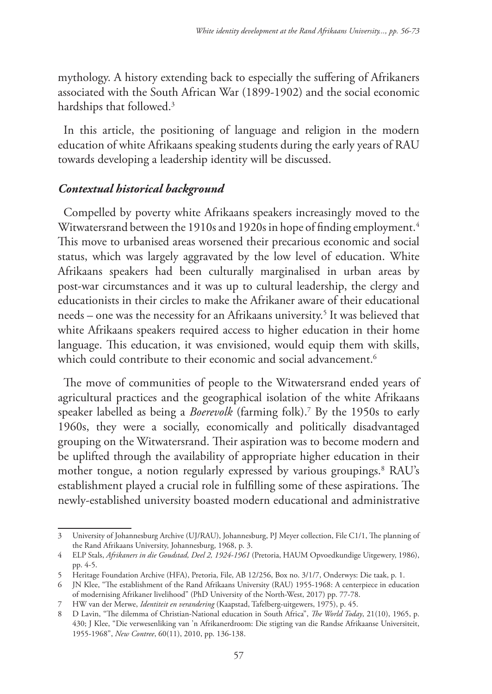mythology. A history extending back to especially the suffering of Afrikaners associated with the South African War (1899-1902) and the social economic hardships that followed.<sup>3</sup>

In this article, the positioning of language and religion in the modern education of white Afrikaans speaking students during the early years of RAU towards developing a leadership identity will be discussed.

## *Contextual historical background*

Compelled by poverty white Afrikaans speakers increasingly moved to the Witwatersrand between the 1910s and 1920s in hope of finding employment.<sup>4</sup> This move to urbanised areas worsened their precarious economic and social status, which was largely aggravated by the low level of education. White Afrikaans speakers had been culturally marginalised in urban areas by post-war circumstances and it was up to cultural leadership, the clergy and educationists in their circles to make the Afrikaner aware of their educational needs – one was the necessity for an Afrikaans university.5 It was believed that white Afrikaans speakers required access to higher education in their home language. This education, it was envisioned, would equip them with skills, which could contribute to their economic and social advancement.<sup>6</sup>

The move of communities of people to the Witwatersrand ended years of agricultural practices and the geographical isolation of the white Afrikaans speaker labelled as being a *Boerevolk* (farming folk).7 By the 1950s to early 1960s, they were a socially, economically and politically disadvantaged grouping on the Witwatersrand. Their aspiration was to become modern and be uplifted through the availability of appropriate higher education in their mother tongue, a notion regularly expressed by various groupings.8 RAU's establishment played a crucial role in fulfilling some of these aspirations. The newly-established university boasted modern educational and administrative

<sup>3</sup> University of Johannesburg Archive (UJ/RAU), Johannesburg, PJ Meyer collection, File C1/1, The planning of the Rand Afrikaans University, Johannesburg, 1968, p. 3.

<sup>4</sup> ELP Stals, *Afrikaners in die Goudstad, Deel 2, 1924-1961* (Pretoria, HAUM Opvoedkundige Uitgewery, 1986), pp. 4-5.

<sup>5</sup> Heritage Foundation Archive (HFA), Pretoria, File, AB 12/256, Box no. 3/1/7, Onderwys: Die taak, p. 1.

<sup>6</sup> JN Klee, "The establishment of the Rand Afrikaans University (RAU) 1955-1968: A centerpiece in education of modernising Afrikaner livelihood" (PhD University of the North-West, 2017) pp. 77-78.

<sup>7</sup> HW van der Merwe, *Identiteit en verandering* (Kaapstad, Tafelberg-uitgewers, 1975), p. 45.

<sup>8</sup> D Lavin, "The dilemma of Christian-National education in South Africa", *The World Today*, 21(10), 1965, p. 430; J Klee, "Die verwesenliking van 'n Afrikanerdroom: Die stigting van die Randse Afrikaanse Universiteit, 1955-1968", *New Contree*, 60(11), 2010, pp. 136-138.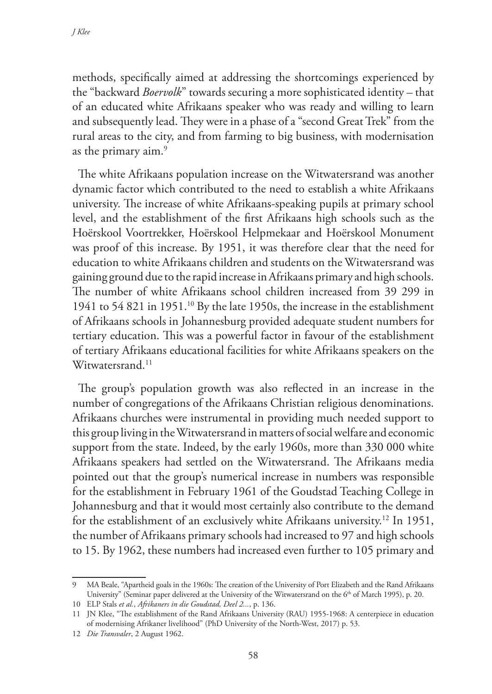methods, specifically aimed at addressing the shortcomings experienced by the "backward *Boervolk*" towards securing a more sophisticated identity – that of an educated white Afrikaans speaker who was ready and willing to learn and subsequently lead. They were in a phase of a "second Great Trek" from the rural areas to the city, and from farming to big business, with modernisation as the primary aim.<sup>9</sup>

The white Afrikaans population increase on the Witwatersrand was another dynamic factor which contributed to the need to establish a white Afrikaans university. The increase of white Afrikaans-speaking pupils at primary school level, and the establishment of the first Afrikaans high schools such as the Hoërskool Voortrekker, Hoërskool Helpmekaar and Hoërskool Monument was proof of this increase. By 1951, it was therefore clear that the need for education to white Afrikaans children and students on the Witwatersrand was gaining ground due to the rapid increase in Afrikaans primary and high schools. The number of white Afrikaans school children increased from 39 299 in 1941 to 54 821 in 1951.10 By the late 1950s, the increase in the establishment of Afrikaans schools in Johannesburg provided adequate student numbers for tertiary education. This was a powerful factor in favour of the establishment of tertiary Afrikaans educational facilities for white Afrikaans speakers on the Witwatersrand.<sup>11</sup>

The group's population growth was also reflected in an increase in the number of congregations of the Afrikaans Christian religious denominations. Afrikaans churches were instrumental in providing much needed support to this group living in the Witwatersrand in matters of social welfare and economic support from the state. Indeed, by the early 1960s, more than 330 000 white Afrikaans speakers had settled on the Witwatersrand. The Afrikaans media pointed out that the group's numerical increase in numbers was responsible for the establishment in February 1961 of the Goudstad Teaching College in Johannesburg and that it would most certainly also contribute to the demand for the establishment of an exclusively white Afrikaans university.12 In 1951, the number of Afrikaans primary schools had increased to 97 and high schools to 15. By 1962, these numbers had increased even further to 105 primary and

<sup>9</sup> MA Beale, "Apartheid goals in the 1960s: The creation of the University of Port Elizabeth and the Rand Afrikaans University" (Seminar paper delivered at the University of the Witwatersrand on the 6<sup>th</sup> of March 1995), p. 20.

<sup>10</sup> ELP Stals *et al.*, *Afrikaners in die Goudstad, Deel 2...*, p. 136.

<sup>11</sup> JN Klee, "The establishment of the Rand Afrikaans University (RAU) 1955-1968: A centerpiece in education of modernising Afrikaner livelihood" (PhD University of the North-West, 2017) p. 53.

<sup>12</sup> *Die Transvaler*, 2 August 1962.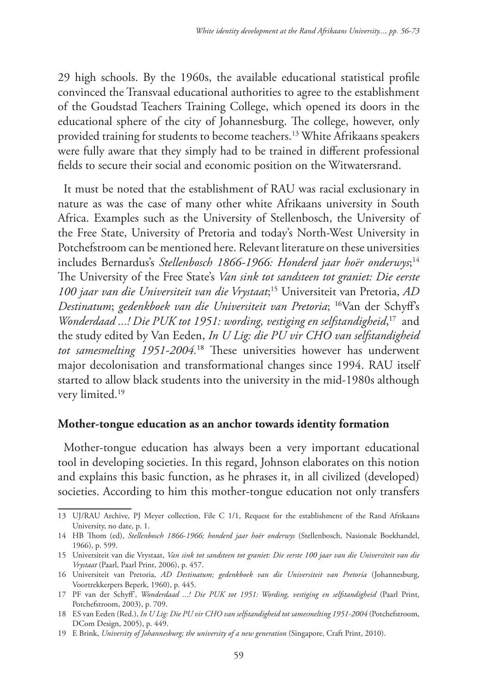29 high schools. By the 1960s, the available educational statistical profile convinced the Transvaal educational authorities to agree to the establishment of the Goudstad Teachers Training College, which opened its doors in the educational sphere of the city of Johannesburg. The college, however, only provided training for students to become teachers.13 White Afrikaans speakers were fully aware that they simply had to be trained in different professional fields to secure their social and economic position on the Witwatersrand.

It must be noted that the establishment of RAU was racial exclusionary in nature as was the case of many other white Afrikaans university in South Africa. Examples such as the University of Stellenbosch, the University of the Free State, University of Pretoria and today's North-West University in Potchefstroom can be mentioned here. Relevant literature on these universities includes Bernardus's *Stellenbosch 1866-1966: Honderd jaar hoër onderwys*; 14 The University of the Free State's *Van sink tot sandsteen tot graniet: Die eerste 100 jaar van die Universiteit van die Vrystaat*; 15 Universiteit van Pretoria, *AD Destinatum*; *gedenkboek van die Universiteit van Pretoria*; 16Van der Schyff's Wonderdaad ...! Die PUK tot 1951: wording, vestiging en selfstandigheid,<sup>17</sup> and the study edited by Van Eeden, *In U Lig: die PU vir CHO van selfstandigheid tot samesmelting 1951-2004.*18 These universities however has underwent major decolonisation and transformational changes since 1994. RAU itself started to allow black students into the university in the mid-1980s although very limited.<sup>19</sup>

### **Mother-tongue education as an anchor towards identity formation**

Mother-tongue education has always been a very important educational tool in developing societies. In this regard, Johnson elaborates on this notion and explains this basic function, as he phrases it, in all civilized (developed) societies. According to him this mother-tongue education not only transfers

<sup>13</sup> UJ/RAU Archive, PJ Meyer collection, File C 1/1, Request for the establishment of the Rand Afrikaans University, no date, p. 1.

<sup>14</sup> HB Thom (ed), *Stellenbosch 1866-1966; honderd jaar hoër onderwys* (Stellenbosch, Nasionale Boekhandel, 1966), p. 599.

<sup>15</sup> Universiteit van die Vrystaat, *Van sink tot sandsteen tot graniet: Die eerste 100 jaar van die Universiteit van die Vrystaat* (Paarl, Paarl Print, 2006), p. 457.

<sup>16</sup> Universiteit van Pretoria, *AD Destinatum; gedenkboek van die Universiteit van Pretoria* (Johannesburg, Voortrekkerpers Beperk, 1960), p. 445.

<sup>17</sup> PF van der Schyff', *Wonderdaad ...! Die PUK tot 1951: Wording, vestiging en selfstandigheid* (Paarl Print, Potchefstroom, 2003), p. 709.

<sup>18</sup> ES van Eeden (Red.), *In U Lig: Die PU vir CHO van selfstandigheid tot samesmelting 1951-2004* (Potchefstroom, DCom Design, 2005), p. 449.

<sup>19</sup> E Brink, *University of Johannesburg; the university of a new generation* (Singapore, Craft Print, 2010).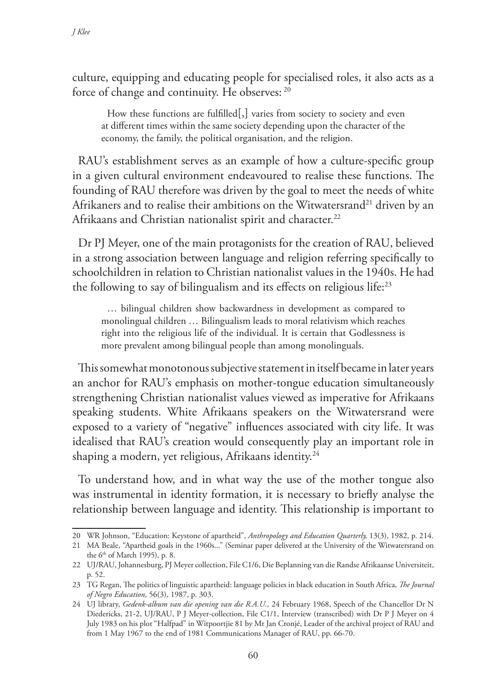culture, equipping and educating people for specialised roles, it also acts as a force of change and continuity. He observes: 20

How these functions are fulfilled $[,$  varies from society to society and even at different times within the same society depending upon the character of the economy, the family, the political organisation, and the religion.

RAU's establishment serves as an example of how a culture-specific group in a given cultural environment endeavoured to realise these functions. The founding of RAU therefore was driven by the goal to meet the needs of white Afrikaners and to realise their ambitions on the Witwatersrand<sup>21</sup> driven by an Afrikaans and Christian nationalist spirit and character.<sup>22</sup>

Dr PJ Meyer, one of the main protagonists for the creation of RAU, believed in a strong association between language and religion referring specifically to schoolchildren in relation to Christian nationalist values in the 1940s. He had the following to say of bilingualism and its effects on religious life:<sup>23</sup>

… bilingual children show backwardness in development as compared to monolingual children … Bilingualism leads to moral relativism which reaches right into the religious life of the individual. It is certain that Godlessness is more prevalent among bilingual people than among monolinguals.

This somewhat monotonous subjective statement in itself became in later years an anchor for RAU's emphasis on mother-tongue education simultaneously strengthening Christian nationalist values viewed as imperative for Afrikaans speaking students. White Afrikaans speakers on the Witwatersrand were exposed to a variety of "negative" influences associated with city life. It was idealised that RAU's creation would consequently play an important role in shaping a modern, yet religious, Afrikaans identity.<sup>24</sup>

To understand how, and in what way the use of the mother tongue also was instrumental in identity formation, it is necessary to briefly analyse the relationship between language and identity. This relationship is important to

<sup>20</sup> WR Johnson, "Education: Keystone of apartheid", *Anthropology and Education Quarterly,* 13(3), 1982, p. 214.

<sup>21</sup> MA Beale, "Apartheid goals in the 1960s..." (Seminar paper delivered at the University of the Witwatersrand on the 6<sup>th</sup> of March 1995), p. 8.

<sup>22</sup> UJ/RAU, Johannesburg, PJ Meyer collection, File C1/6, Die Beplanning van die Randse Afrikaanse Universiteit, p. 52.

<sup>23</sup> TG Regan, The politics of linguistic apartheid: language policies in black education in South Africa, *The Journal of Negro Education*, 56(3), 1987, p. 303.

<sup>24</sup> UJ library, *Gedenk-album van die opening van die R.A.U.,* 24 February 1968, Speech of the Chancellor Dr N Diedericks, 21-2, UJ/RAU, P J Meyer-collection, File C1/1, Interview (transcribed) with Dr P J Meyer on 4 July 1983 on his plot "Halfpad" in Witpoortjie 81 by Mr Jan Cronjé, Leader of the archival project of RAU and from 1 May 1967 to the end of 1981 Communications Manager of RAU, pp. 66-70.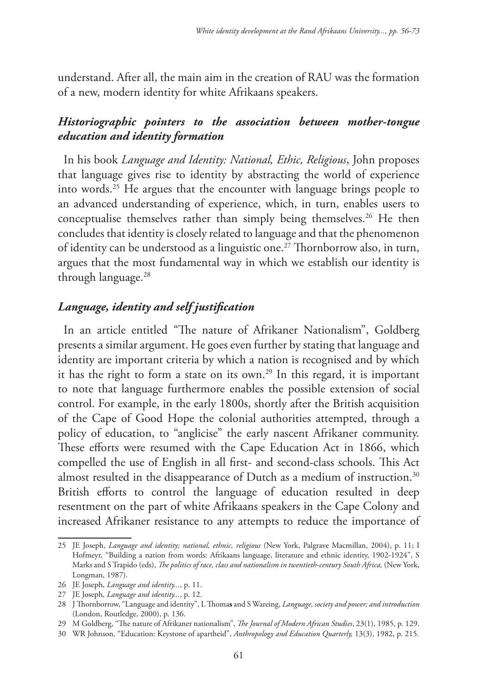understand. After all, the main aim in the creation of RAU was the formation of a new, modern identity for white Afrikaans speakers.

## *Historiographic pointers to the association between mother-tongue education and identity formation*

In his book *Language and Identity: National, Ethic, Religious*, John proposes that language gives rise to identity by abstracting the world of experience into words.25 He argues that the encounter with language brings people to an advanced understanding of experience, which, in turn, enables users to conceptualise themselves rather than simply being themselves.26 He then concludes that identity is closely related to language and that the phenomenon of identity can be understood as a linguistic one.<sup>27</sup> Thornborrow also, in turn, argues that the most fundamental way in which we establish our identity is through language.<sup>28</sup>

### *Language, identity and self justification*

In an article entitled "The nature of Afrikaner Nationalism", Goldberg presents a similar argument. He goes even further by stating that language and identity are important criteria by which a nation is recognised and by which it has the right to form a state on its own.<sup>29</sup> In this regard, it is important to note that language furthermore enables the possible extension of social control. For example, in the early 1800s, shortly after the British acquisition of the Cape of Good Hope the colonial authorities attempted, through a policy of education, to "anglicise" the early nascent Afrikaner community. These efforts were resumed with the Cape Education Act in 1866, which compelled the use of English in all first- and second-class schools. This Act almost resulted in the disappearance of Dutch as a medium of instruction.<sup>30</sup> British efforts to control the language of education resulted in deep resentment on the part of white Afrikaans speakers in the Cape Colony and increased Afrikaner resistance to any attempts to reduce the importance of

<sup>25</sup> JE Joseph, *Language and identity; national, ethnic, religious* (New York, Palgrave Macmillan, 2004), p. 11; I Hofmeyr, "Building a nation from words: Afrikaans language, literature and ethnic identity, 1902-1924", S Marks and S Trapido (eds), *The politics of race, class and nationalism in twentieth-century South Africa,* (New York, Longman, 1987).

<sup>26</sup> JE Joseph, *Language and identity...*, p. 11.

<sup>27</sup> JE Joseph, *Language and identity...*, p. 12.

<sup>28</sup> J Thornborrow, "Language and identity", L Thoma**s** and S Wareing, *Language, society and power; and introduction*  (London, Routledge, 2000), p. 136.

<sup>29</sup> M Goldberg, "The nature of Afrikaner nationalism", *The Journal of Modern African Studies*, 23(1), 1985, p. 129.

<sup>30</sup> WR Johnson, "Education: Keystone of apartheid", *Anthropology and Education Quarterly,* 13(3), 1982, p. 215.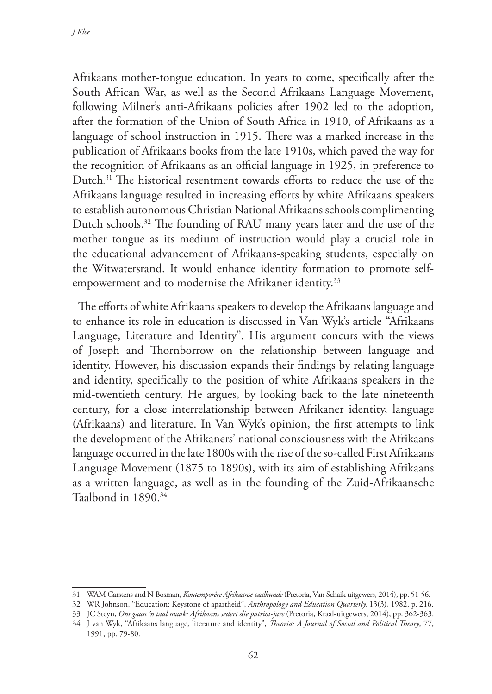Afrikaans mother-tongue education. In years to come, specifically after the South African War, as well as the Second Afrikaans Language Movement, following Milner's anti-Afrikaans policies after 1902 led to the adoption, after the formation of the Union of South Africa in 1910, of Afrikaans as a language of school instruction in 1915. There was a marked increase in the publication of Afrikaans books from the late 1910s, which paved the way for the recognition of Afrikaans as an official language in 1925, in preference to Dutch. <sup>31</sup> The historical resentment towards efforts to reduce the use of the Afrikaans language resulted in increasing efforts by white Afrikaans speakers to establish autonomous Christian National Afrikaans schools complimenting Dutch schools.32 The founding of RAU many years later and the use of the mother tongue as its medium of instruction would play a crucial role in the educational advancement of Afrikaans-speaking students, especially on the Witwatersrand. It would enhance identity formation to promote selfempowerment and to modernise the Afrikaner identity.<sup>33</sup>

The efforts of white Afrikaans speakers to develop the Afrikaans language and to enhance its role in education is discussed in Van Wyk's article "Afrikaans Language, Literature and Identity"*.* His argument concurs with the views of Joseph and Thornborrow on the relationship between language and identity. However, his discussion expands their findings by relating language and identity, specifically to the position of white Afrikaans speakers in the mid-twentieth century. He argues, by looking back to the late nineteenth century, for a close interrelationship between Afrikaner identity, language (Afrikaans) and literature. In Van Wyk's opinion, the first attempts to link the development of the Afrikaners' national consciousness with the Afrikaans language occurred in the late 1800s with the rise of the so-called First Afrikaans Language Movement (1875 to 1890s), with its aim of establishing Afrikaans as a written language, as well as in the founding of the Zuid-Afrikaansche Taalbond in 1890.34

1991, pp. 79-80.

<sup>31</sup> WAM Carstens and N Bosman, *Kontemporêre Afrikaanse taalkunde* (Pretoria, Van Schaik uitgewers, 2014), pp. 51-56.

<sup>32</sup> WR Johnson, "Education: Keystone of apartheid", *Anthropology and Education Quarterly,* 13(3), 1982, p. 216.

<sup>33</sup> JC Steyn, *Ons gaan 'n taal maak: Afrikaans sedert die patriot-jare* (Pretoria, Kraal-uitgewers, 2014), pp. 362-363. 34 J van Wyk, "Afrikaans language, literature and identity", *Theoria: A Journal of Social and Political Theory*, 77,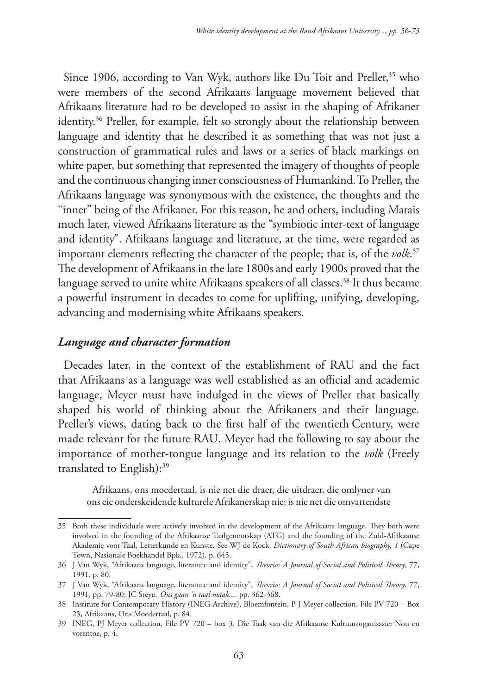Since 1906, according to Van Wyk, authors like Du Toit and Preller,<sup>35</sup> who were members of the second Afrikaans language movement believed that Afrikaans literature had to be developed to assist in the shaping of Afrikaner identity.36 Preller, for example, felt so strongly about the relationship between language and identity that he described it as something that was not just a construction of grammatical rules and laws or a series of black markings on white paper, but something that represented the imagery of thoughts of people and the continuous changing inner consciousness of Humankind.To Preller, the Afrikaans language was synonymous with the existence, the thoughts and the "inner" being of the Afrikaner. For this reason, he and others, including Marais much later, viewed Afrikaans literature as the "symbiotic inter-text of language and identity". Afrikaans language and literature, at the time, were regarded as important elements reflecting the character of the people; that is, of the *volk*. 37 The development of Afrikaans in the late 1800s and early 1900s proved that the language served to unite white Afrikaans speakers of all classes.<sup>38</sup> It thus became a powerful instrument in decades to come for uplifting, unifying, developing, advancing and modernising white Afrikaans speakers.

### *Language and character formation*

Decades later, in the context of the establishment of RAU and the fact that Afrikaans as a language was well established as an official and academic language, Meyer must have indulged in the views of Preller that basically shaped his world of thinking about the Afrikaners and their language. Preller's views, dating back to the first half of the twentieth Century, were made relevant for the future RAU. Meyer had the following to say about the importance of mother-tongue language and its relation to the *volk* (Freely translated to English):39

Afrikaans, ons moedertaal, is nie net die draer, die uitdraer, die omlyner van ons eie onderskeidende kulturele Afrikanerskap nie; is nie net die omvattendste

<sup>35</sup> Both these individuals were actively involved in the development of the Afrikaans language. They both were involved in the founding of the Afrikaanse Taalgenootskap (ATG) and the founding of the Zuid-Afrikaanse Akademie voor Taal, Letterkunde en Kunste. See WJ de Kock, *Dictionary of South African biography, 1* (Cape Town, Nasionale Boekhandel Bpk., 1972), p. 645.

<sup>36</sup> J Van Wyk, "Afrikaans language, literature and identity", *Theoria: A Journal of Social and Political Theory*, 77, 1991, p. 80.

<sup>37</sup> J Van Wyk, "Afrikaans language, literature and identity", *Theoria: A Journal of Social and Political Theory*, 77, 1991, pp. 79-80; JC Steyn, *Ons gaan 'n taal maak...,* pp. 362-368.

<sup>38</sup> Institute for Contemporary History (INEG Archive), Bloemfontein, P J Meyer collection, File PV 720 – Box 25, Afrikaans, Ons Moedertaal, p. 84.

<sup>39</sup> INEG, PJ Meyer collection, File PV 720 – box 3, Die Taak van die Afrikaanse Kultuurorganisasie: Nou en vorentoe, p. 4.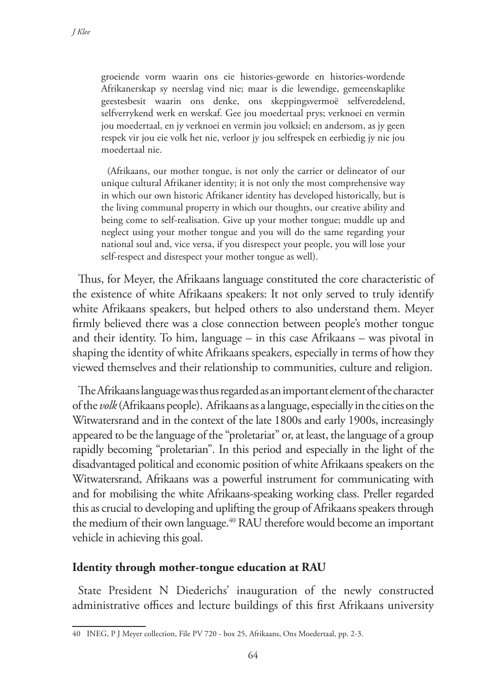groeiende vorm waarin ons eie histories-geworde en histories-wordende Afrikanerskap sy neerslag vind nie; maar is die lewendige, gemeenskaplike geestesbesit waarin ons denke, ons skeppingsvermoë selfveredelend, selfverrykend werk en werskaf. Gee jou moedertaal prys; verknoei en vermin jou moedertaal, en jy verknoei en vermin jou volksiel; en andersom, as jy geen respek vir jou eie volk het nie, verloor jy jou selfrespek en eerbiedig jy nie jou moedertaal nie.

(Afrikaans, our mother tongue, is not only the carrier or delineator of our unique cultural Afrikaner identity; it is not only the most comprehensive way in which our own historic Afrikaner identity has developed historically, but is the living communal property in which our thoughts, our creative ability and being come to self-realisation. Give up your mother tongue; muddle up and neglect using your mother tongue and you will do the same regarding your national soul and, vice versa, if you disrespect your people, you will lose your self-respect and disrespect your mother tongue as well).

Thus, for Meyer, the Afrikaans language constituted the core characteristic of the existence of white Afrikaans speakers: It not only served to truly identify white Afrikaans speakers, but helped others to also understand them. Meyer firmly believed there was a close connection between people's mother tongue and their identity. To him, language – in this case Afrikaans – was pivotal in shaping the identity of white Afrikaans speakers, especially in terms of how they viewed themselves and their relationship to communities, culture and religion.

The Afrikaans language was thus regarded as an important element of the character of the *volk* (Afrikaans people). Afrikaans as a language, especially in the cities on the Witwatersrand and in the context of the late 1800s and early 1900s, increasingly appeared to be the language of the "proletariat" or, at least, the language of a group rapidly becoming "proletarian". In this period and especially in the light of the disadvantaged political and economic position of white Afrikaans speakers on the Witwatersrand, Afrikaans was a powerful instrument for communicating with and for mobilising the white Afrikaans-speaking working class. Preller regarded this as crucial to developing and uplifting the group of Afrikaans speakers through the medium of their own language.<sup>40</sup> RAU therefore would become an important vehicle in achieving this goal.

### **Identity through mother-tongue education at RAU**

State President N Diederichs' inauguration of the newly constructed administrative offices and lecture buildings of this first Afrikaans university

<sup>40</sup> INEG, P J Meyer collection, File PV 720 - box 25, Afrikaans, Ons Moedertaal, pp. 2-3.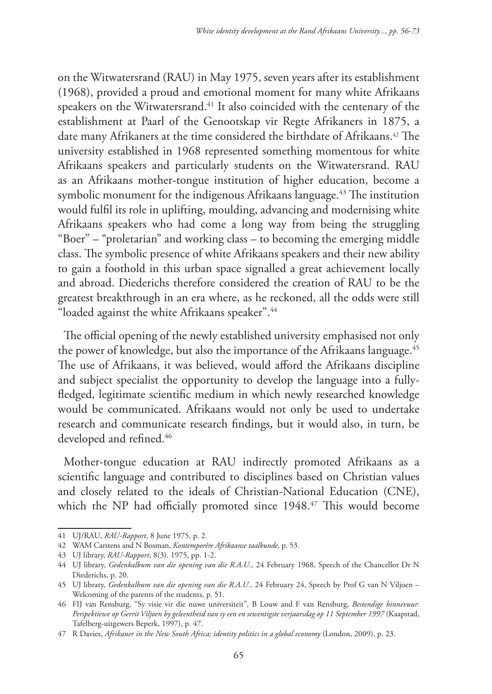on the Witwatersrand (RAU) in May 1975, seven years after its establishment (1968), provided a proud and emotional moment for many white Afrikaans speakers on the Witwatersrand.<sup>41</sup> It also coincided with the centenary of the establishment at Paarl of the Genootskap vir Regte Afrikaners in 1875, a date many Afrikaners at the time considered the birthdate of Afrikaans.<sup>42</sup> The university established in 1968 represented something momentous for white Afrikaans speakers and particularly students on the Witwatersrand. RAU as an Afrikaans mother-tongue institution of higher education, become a symbolic monument for the indigenous Afrikaans language.<sup>43</sup> The institution would fulfil its role in uplifting, moulding, advancing and modernising white Afrikaans speakers who had come a long way from being the struggling "Boer" – "proletarian" and working class – to becoming the emerging middle class. The symbolic presence of white Afrikaans speakers and their new ability to gain a foothold in this urban space signalled a great achievement locally and abroad. Diederichs therefore considered the creation of RAU to be the greatest breakthrough in an era where, as he reckoned, all the odds were still "loaded against the white Afrikaans speaker".<sup>44</sup>

The official opening of the newly established university emphasised not only the power of knowledge, but also the importance of the Afrikaans language.<sup>45</sup> The use of Afrikaans, it was believed, would afford the Afrikaans discipline and subject specialist the opportunity to develop the language into a fullyfledged, legitimate scientific medium in which newly researched knowledge would be communicated. Afrikaans would not only be used to undertake research and communicate research findings, but it would also, in turn, be developed and refined.<sup>46</sup>

Mother-tongue education at RAU indirectly promoted Afrikaans as a scientific language and contributed to disciplines based on Christian values and closely related to the ideals of Christian-National Education (CNE), which the NP had officially promoted since 1948.<sup>47</sup> This would become

<sup>41</sup> UJ/RAU, *RAU-Rapport*, 8 June 1975, p. 2.

<sup>42</sup> WAM Carstens and N Bosman, *Kontemporêre Afrikaanse taalkunde*, p. 53.

<sup>43</sup> UJ library, *RAU-Rapport*, 8(3). 1975, pp. 1-2.

<sup>44</sup> UJ library, *Gedenkalbum van die opening van die R.A.U.,* 24 February 1968, Speech of the Chancellor Dr N Diederichs, p. 20.

<sup>45</sup> UJ library, *Gedenkalbum van die opening van die R.A.U.,* 24 February 24, Speech by Prof G van N Viljoen – Welcoming of the parents of the students, p. 51.

<sup>46</sup> FIJ van Rensburg, "Sy visie vir die nuwe universiteit", B Louw and F van Rensburg, *Bestendige binnevuur: Perspektiewe op Gerrit Viljoen by geleentheid van sy een en sewentigste verjaarsdag op 11 September 1997* (Kaapstad, Tafelberg-uitgewers Beperk, 1997), p. 47.

<sup>47</sup> R Davies, *Afrikaner in the New South Africa; identity politics in a global economy* (London, 2009), p. 23.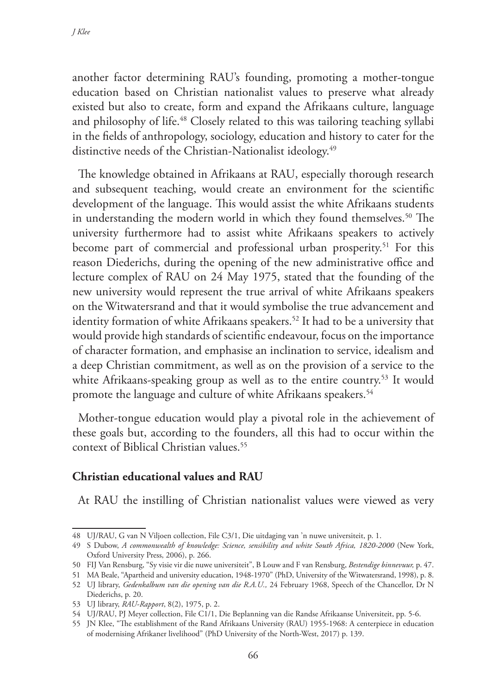another factor determining RAU's founding, promoting a mother-tongue education based on Christian nationalist values to preserve what already existed but also to create, form and expand the Afrikaans culture, language and philosophy of life.<sup>48</sup> Closely related to this was tailoring teaching syllabi in the fields of anthropology, sociology, education and history to cater for the distinctive needs of the Christian-Nationalist ideology.<sup>49</sup>

The knowledge obtained in Afrikaans at RAU, especially thorough research and subsequent teaching, would create an environment for the scientific development of the language. This would assist the white Afrikaans students in understanding the modern world in which they found themselves.<sup>50</sup> The university furthermore had to assist white Afrikaans speakers to actively become part of commercial and professional urban prosperity.<sup>51</sup> For this reason Diederichs, during the opening of the new administrative office and lecture complex of RAU on 24 May 1975, stated that the founding of the new university would represent the true arrival of white Afrikaans speakers on the Witwatersrand and that it would symbolise the true advancement and identity formation of white Afrikaans speakers.<sup>52</sup> It had to be a university that would provide high standards of scientific endeavour, focus on the importance of character formation, and emphasise an inclination to service, idealism and a deep Christian commitment, as well as on the provision of a service to the white Afrikaans-speaking group as well as to the entire country.<sup>53</sup> It would promote the language and culture of white Afrikaans speakers.<sup>54</sup>

Mother-tongue education would play a pivotal role in the achievement of these goals but, according to the founders, all this had to occur within the context of Biblical Christian values.<sup>55</sup>

## **Christian educational values and RAU**

At RAU the instilling of Christian nationalist values were viewed as very

<sup>48</sup> UJ/RAU, G van N Viljoen collection, File C3/1, Die uitdaging van 'n nuwe universiteit, p. 1.

<sup>49</sup> S Dubow, *A commonwealth of knowledge: Science, sensibility and white South Africa, 1820-2000* (New York, Oxford University Press, 2006), p. 266.

<sup>50</sup> FIJ Van Rensburg, "Sy visie vir die nuwe universiteit", B Louw and F van Rensburg, *Bestendige binnevuur,* p. 47.

<sup>51</sup> MA Beale, "Apartheid and university education, 1948-1970" (PhD, University of the Witwatersrand, 1998), p. 8.

<sup>52</sup> UJ library, *Gedenkalbum van die opening van die R.A.U.,* 24 February 1968, Speech of the Chancellor, Dr N Diederichs, p. 20.

<sup>53</sup> UJ library, *RAU-Rapport*, 8(2), 1975, p. 2.

<sup>54</sup> UJ/RAU, PJ Meyer collection, File C1/1, Die Beplanning van die Randse Afrikaanse Universiteit, pp. 5-6.

<sup>55</sup> JN Klee, "The establishment of the Rand Afrikaans University (RAU) 1955-1968: A centerpiece in education of modernising Afrikaner livelihood" (PhD University of the North-West, 2017) p. 139.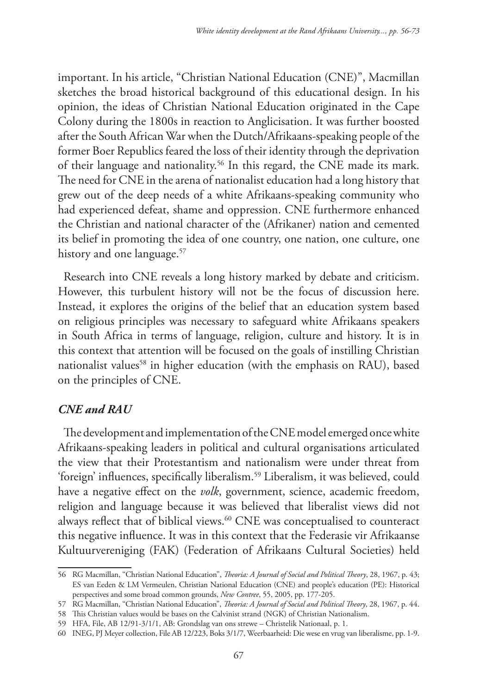important. In his article, "Christian National Education (CNE)", Macmillan sketches the broad historical background of this educational design. In his opinion, the ideas of Christian National Education originated in the Cape Colony during the 1800s in reaction to Anglicisation. It was further boosted after the South African War when the Dutch/Afrikaans-speaking people of the former Boer Republics feared the loss of their identity through the deprivation of their language and nationality.56 In this regard, the CNE made its mark. The need for CNE in the arena of nationalist education had a long history that grew out of the deep needs of a white Afrikaans-speaking community who had experienced defeat, shame and oppression. CNE furthermore enhanced the Christian and national character of the (Afrikaner) nation and cemented its belief in promoting the idea of one country, one nation, one culture, one history and one language.<sup>57</sup>

Research into CNE reveals a long history marked by debate and criticism. However, this turbulent history will not be the focus of discussion here. Instead, it explores the origins of the belief that an education system based on religious principles was necessary to safeguard white Afrikaans speakers in South Africa in terms of language, religion, culture and history. It is in this context that attention will be focused on the goals of instilling Christian nationalist values<sup>58</sup> in higher education (with the emphasis on RAU), based on the principles of CNE.

# *CNE and RAU*

The development and implementation of the CNE model emerged once white Afrikaans-speaking leaders in political and cultural organisations articulated the view that their Protestantism and nationalism were under threat from 'foreign' influences, specifically liberalism.59 Liberalism, it was believed, could have a negative effect on the *volk*, government, science, academic freedom, religion and language because it was believed that liberalist views did not always reflect that of biblical views.<sup>60</sup> CNE was conceptualised to counteract this negative influence. It was in this context that the Federasie vir Afrikaanse Kultuurvereniging (FAK) (Federation of Afrikaans Cultural Societies) held

<sup>56</sup> RG Macmillan, "Christian National Education", *Theoria: A Journal of Social and Political Theory*, 28, 1967, p. 43; ES van Eeden & LM Vermeulen, Christian National Education (CNE) and people's education (PE): Historical perspectives and some broad common grounds, *New Contree*, 55, 2005, pp. 177-205.

<sup>57</sup> RG Macmillan, "Christian National Education", *Theoria: A Journal of Social and Political Theory*, 28, 1967, p. 44.

<sup>58</sup> This Christian values would be bases on the Calvinist strand (NGK) of Christian Nationalism.

<sup>59</sup> HFA, File, AB 12/91-3/1/1, AB: Grondslag van ons strewe – Christelik Nationaal, p. 1.

<sup>60</sup> INEG, PJ Meyer collection, File AB 12/223, Boks 3/1/7, Weerbaarheid: Die wese en vrug van liberalisme, pp. 1-9.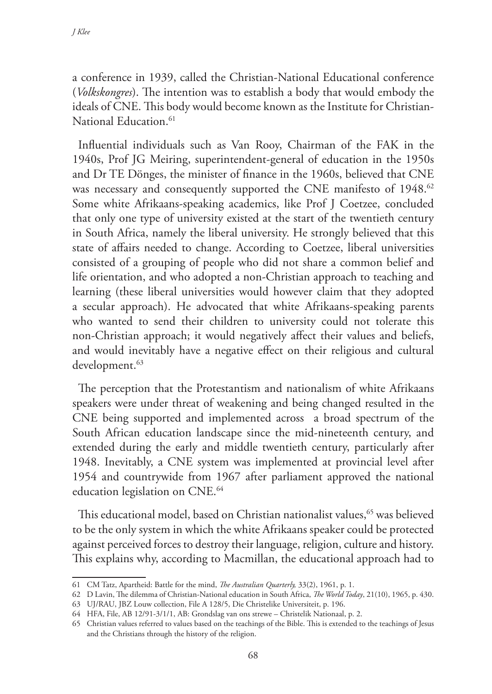a conference in 1939, called the Christian-National Educational conference (*Volkskongres*). The intention was to establish a body that would embody the ideals of CNE. This body would become known as the Institute for Christian-National Education.<sup>61</sup>

Influential individuals such as Van Rooy, Chairman of the FAK in the 1940s, Prof JG Meiring, superintendent-general of education in the 1950s and Dr TE Dönges, the minister of finance in the 1960s, believed that CNE was necessary and consequently supported the CNE manifesto of 1948.<sup>62</sup> Some white Afrikaans-speaking academics, like Prof J Coetzee, concluded that only one type of university existed at the start of the twentieth century in South Africa, namely the liberal university. He strongly believed that this state of affairs needed to change. According to Coetzee, liberal universities consisted of a grouping of people who did not share a common belief and life orientation, and who adopted a non-Christian approach to teaching and learning (these liberal universities would however claim that they adopted a secular approach). He advocated that white Afrikaans-speaking parents who wanted to send their children to university could not tolerate this non-Christian approach; it would negatively affect their values and beliefs, and would inevitably have a negative effect on their religious and cultural development.<sup>63</sup>

The perception that the Protestantism and nationalism of white Afrikaans speakers were under threat of weakening and being changed resulted in the CNE being supported and implemented across a broad spectrum of the South African education landscape since the mid-nineteenth century, and extended during the early and middle twentieth century, particularly after 1948. Inevitably, a CNE system was implemented at provincial level after 1954 and countrywide from 1967 after parliament approved the national education legislation on CNE.<sup>64</sup>

This educational model, based on Christian nationalist values,<sup>65</sup> was believed to be the only system in which the white Afrikaans speaker could be protected against perceived forces to destroy their language, religion, culture and history. This explains why, according to Macmillan, the educational approach had to

<sup>61</sup> CM Tatz, Apartheid: Battle for the mind, *The Australian Quarterly,* 33(2), 1961, p. 1.

<sup>62</sup> D Lavin, The dilemma of Christian-National education in South Africa, *The World Today*, 21(10), 1965, p. 430.

<sup>63</sup> UJ/RAU, JBZ Louw collection, File A 128/5, Die Christelike Universiteit, p. 196.

<sup>64</sup> HFA, File, AB 12/91-3/1/1, AB: Grondslag van ons strewe – Christelik Nationaal, p. 2.

<sup>65</sup> Christian values referred to values based on the teachings of the Bible. This is extended to the teachings of Jesus and the Christians through the history of the religion.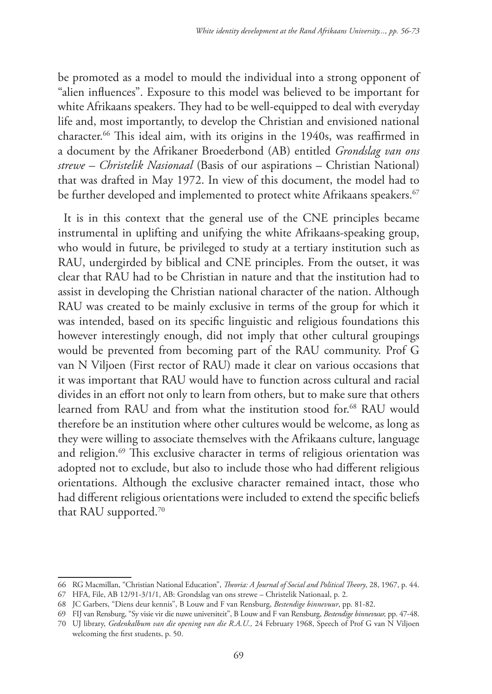be promoted as a model to mould the individual into a strong opponent of "alien influences". Exposure to this model was believed to be important for white Afrikaans speakers. They had to be well-equipped to deal with everyday life and, most importantly, to develop the Christian and envisioned national character.66 This ideal aim, with its origins in the 1940s, was reaffirmed in a document by the Afrikaner Broederbond (AB) entitled *Grondslag van ons strewe – Christelik Nasionaal* (Basis of our aspirations – Christian National) that was drafted in May 1972. In view of this document, the model had to be further developed and implemented to protect white Afrikaans speakers.<sup>67</sup>

It is in this context that the general use of the CNE principles became instrumental in uplifting and unifying the white Afrikaans-speaking group, who would in future, be privileged to study at a tertiary institution such as RAU, undergirded by biblical and CNE principles. From the outset, it was clear that RAU had to be Christian in nature and that the institution had to assist in developing the Christian national character of the nation. Although RAU was created to be mainly exclusive in terms of the group for which it was intended, based on its specific linguistic and religious foundations this however interestingly enough, did not imply that other cultural groupings would be prevented from becoming part of the RAU community. Prof G van N Viljoen (First rector of RAU) made it clear on various occasions that it was important that RAU would have to function across cultural and racial divides in an effort not only to learn from others, but to make sure that others learned from RAU and from what the institution stood for.<sup>68</sup> RAU would therefore be an institution where other cultures would be welcome, as long as they were willing to associate themselves with the Afrikaans culture, language and religion.<sup>69</sup> This exclusive character in terms of religious orientation was adopted not to exclude, but also to include those who had different religious orientations. Although the exclusive character remained intact, those who had different religious orientations were included to extend the specific beliefs that RAU supported.<sup>70</sup>

<sup>66</sup> RG Macmillan, "Christian National Education", *Theoria: A Journal of Social and Political Theory*, 28, 1967, p. 44.

<sup>67</sup> HFA, File, AB 12/91-3/1/1, AB: Grondslag van ons strewe – Christelik Nationaal, p. 2.

<sup>68</sup> JC Garbers, "Diens deur kennis", B Louw and F van Rensburg, *Bestendige binnevuur*, pp. 81-82.

<sup>69</sup> FIJ van Rensburg, "Sy visie vir die nuwe universiteit", B Louw and F van Rensburg, *Bestendige binnevuur,* pp. 47-48. 70 UJ library, *Gedenkalbum van die opening van die R.A.U.,* 24 February 1968, Speech of Prof G van N Viljoen welcoming the first students, p. 50.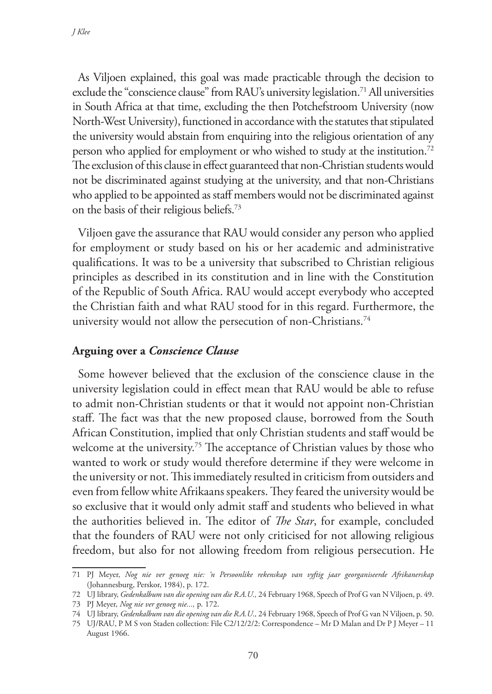As Viljoen explained, this goal was made practicable through the decision to exclude the "conscience clause" from RAU's university legislation.<sup>71</sup> All universities in South Africa at that time, excluding the then Potchefstroom University (now North-West University), functioned in accordance with the statutes that stipulated the university would abstain from enquiring into the religious orientation of any person who applied for employment or who wished to study at the institution.72 The exclusion of this clause in effect guaranteed that non-Christian students would not be discriminated against studying at the university, and that non-Christians who applied to be appointed as staff members would not be discriminated against on the basis of their religious beliefs.73

Viljoen gave the assurance that RAU would consider any person who applied for employment or study based on his or her academic and administrative qualifications. It was to be a university that subscribed to Christian religious principles as described in its constitution and in line with the Constitution of the Republic of South Africa. RAU would accept everybody who accepted the Christian faith and what RAU stood for in this regard. Furthermore, the university would not allow the persecution of non-Christians.<sup>74</sup>

### **Arguing over a** *Conscience Clause*

Some however believed that the exclusion of the conscience clause in the university legislation could in effect mean that RAU would be able to refuse to admit non-Christian students or that it would not appoint non-Christian staff. The fact was that the new proposed clause, borrowed from the South African Constitution, implied that only Christian students and staff would be welcome at the university.<sup>75</sup> The acceptance of Christian values by those who wanted to work or study would therefore determine if they were welcome in the university or not. This immediately resulted in criticism from outsiders and even from fellow white Afrikaans speakers. They feared the university would be so exclusive that it would only admit staff and students who believed in what the authorities believed in. The editor of *The Star*, for example, concluded that the founders of RAU were not only criticised for not allowing religious freedom, but also for not allowing freedom from religious persecution. He

<sup>71</sup> PJ Meyer, *Nog nie ver genoeg nie: 'n Persoonlike rekenskap van vyftig jaar georganiseerde Afrikanerskap* (Johannesburg, Perskor, 1984), p. 172.

<sup>72</sup> UJ library, *Gedenkalbum van die opening van die R.A.U.,* 24 February 1968, Speech of Prof G van N Viljoen, p. 49.

<sup>73</sup> PJ Meyer, *Nog nie ver genoeg nie...,* p. 172.

<sup>74</sup> UJ library, *Gedenkalbum van die opening van die R.A.U.,* 24 February 1968, Speech of Prof G van N Viljoen, p. 50.

<sup>75</sup> UJ/RAU, P M S von Staden collection: File C2/12/2/2: Correspondence – Mr D Malan and Dr P J Meyer – 11 August 1966.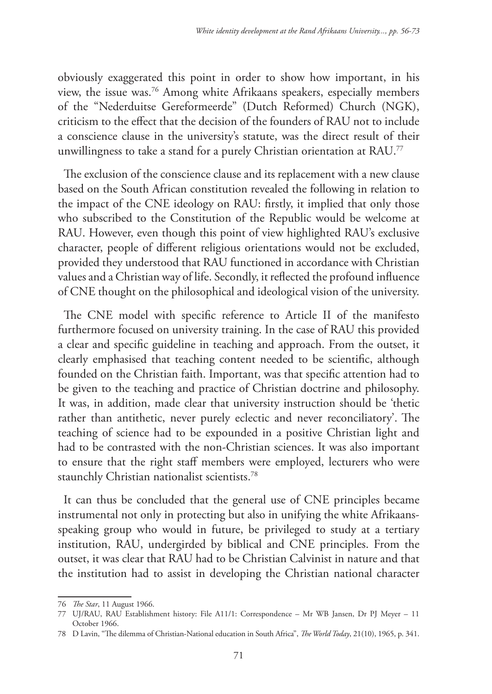obviously exaggerated this point in order to show how important, in his view, the issue was.76 Among white Afrikaans speakers, especially members of the "Nederduitse Gereformeerde" (Dutch Reformed) Church (NGK), criticism to the effect that the decision of the founders of RAU not to include a conscience clause in the university's statute, was the direct result of their unwillingness to take a stand for a purely Christian orientation at RAU.<sup>77</sup>

The exclusion of the conscience clause and its replacement with a new clause based on the South African constitution revealed the following in relation to the impact of the CNE ideology on RAU: firstly, it implied that only those who subscribed to the Constitution of the Republic would be welcome at RAU. However, even though this point of view highlighted RAU's exclusive character, people of different religious orientations would not be excluded, provided they understood that RAU functioned in accordance with Christian values and a Christian way of life. Secondly, it reflected the profound influence of CNE thought on the philosophical and ideological vision of the university.

The CNE model with specific reference to Article II of the manifesto furthermore focused on university training. In the case of RAU this provided a clear and specific guideline in teaching and approach. From the outset, it clearly emphasised that teaching content needed to be scientific, although founded on the Christian faith. Important, was that specific attention had to be given to the teaching and practice of Christian doctrine and philosophy. It was, in addition, made clear that university instruction should be 'thetic rather than antithetic, never purely eclectic and never reconciliatory'. The teaching of science had to be expounded in a positive Christian light and had to be contrasted with the non-Christian sciences. It was also important to ensure that the right staff members were employed, lecturers who were staunchly Christian nationalist scientists.78

It can thus be concluded that the general use of CNE principles became instrumental not only in protecting but also in unifying the white Afrikaansspeaking group who would in future, be privileged to study at a tertiary institution, RAU, undergirded by biblical and CNE principles. From the outset, it was clear that RAU had to be Christian Calvinist in nature and that the institution had to assist in developing the Christian national character

<sup>76</sup> *The Star*, 11 August 1966.

<sup>77</sup> UJ/RAU, RAU Establishment history: File A11/1: Correspondence – Mr WB Jansen, Dr PJ Meyer – 11 October 1966.

<sup>78</sup> D Lavin, "The dilemma of Christian-National education in South Africa", *The World Today*, 21(10), 1965, p. 341.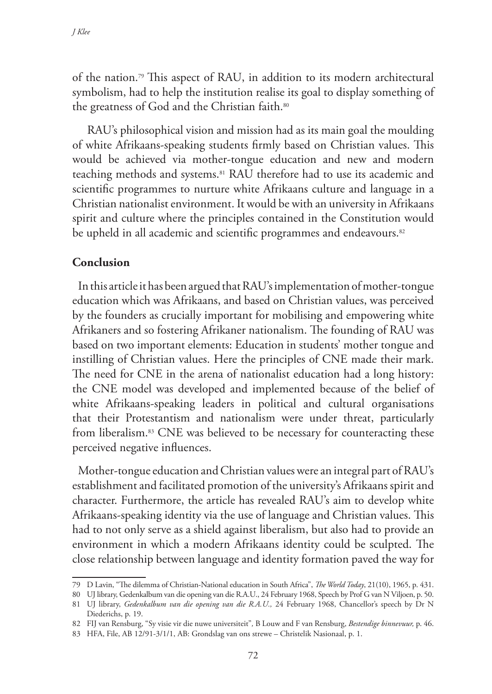of the nation.79 This aspect of RAU, in addition to its modern architectural symbolism, had to help the institution realise its goal to display something of the greatness of God and the Christian faith.<sup>80</sup>

 RAU's philosophical vision and mission had as its main goal the moulding of white Afrikaans-speaking students firmly based on Christian values. This would be achieved via mother-tongue education and new and modern teaching methods and systems.81 RAU therefore had to use its academic and scientific programmes to nurture white Afrikaans culture and language in a Christian nationalist environment. It would be with an university in Afrikaans spirit and culture where the principles contained in the Constitution would be upheld in all academic and scientific programmes and endeavours.<sup>82</sup>

## **Conclusion**

In this article it has been argued that RAU's implementation of mother-tongue education which was Afrikaans, and based on Christian values, was perceived by the founders as crucially important for mobilising and empowering white Afrikaners and so fostering Afrikaner nationalism. The founding of RAU was based on two important elements: Education in students' mother tongue and instilling of Christian values. Here the principles of CNE made their mark. The need for CNE in the arena of nationalist education had a long history: the CNE model was developed and implemented because of the belief of white Afrikaans-speaking leaders in political and cultural organisations that their Protestantism and nationalism were under threat, particularly from liberalism.83 CNE was believed to be necessary for counteracting these perceived negative influences.

Mother-tongue education and Christian values were an integral part of RAU's establishment and facilitated promotion of the university's Afrikaans spirit and character. Furthermore, the article has revealed RAU's aim to develop white Afrikaans-speaking identity via the use of language and Christian values. This had to not only serve as a shield against liberalism, but also had to provide an environment in which a modern Afrikaans identity could be sculpted. The close relationship between language and identity formation paved the way for

<sup>79</sup> D Lavin, "The dilemma of Christian-National education in South Africa", *The World Today*, 21(10), 1965, p. 431.

<sup>80</sup> UJ library, Gedenkalbum van die opening van die R.A.U., 24 February 1968, Speech by Prof G van N Viljoen, p. 50.

<sup>81</sup> UJ library, *Gedenkalbum van die opening van die R.A.U.,* 24 February 1968, Chancellor's speech by Dr N Diederichs, p. 19.

<sup>82</sup> FIJ van Rensburg, "Sy visie vir die nuwe universiteit"*,* B Louw and F van Rensburg, *Bestendige binnevuur,* p. 46.

<sup>83</sup> HFA, File, AB 12/91-3/1/1, AB: Grondslag van ons strewe – Christelik Nasionaal, p. 1.